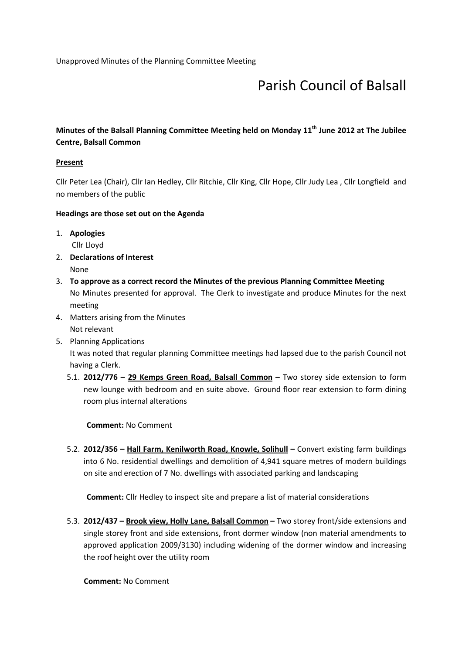# Parish Council of Balsall

# Minutes of the Balsall Planning Committee Meeting held on Monday  $11<sup>th</sup>$  June 2012 at The Jubilee Centre, Balsall Common

# **Present**

Cllr Peter Lea (Chair), Cllr Ian Hedley, Cllr Ritchie, Cllr King, Cllr Hope, Cllr Judy Lea , Cllr Longfield and no members of the public

# Headings are those set out on the Agenda

1. Apologies

Cllr Lloyd

- 2. Declarations of Interest None
- 3. To approve as a correct record the Minutes of the previous Planning Committee Meeting No Minutes presented for approval. The Clerk to investigate and produce Minutes for the next meeting
- 4. Matters arising from the Minutes Not relevant
- 5. Planning Applications It was noted that regular planning Committee meetings had lapsed due to the parish Council not having a Clerk.
	- 5.1. 2012/776 29 Kemps Green Road, Balsall Common Two storey side extension to form new lounge with bedroom and en suite above. Ground floor rear extension to form dining room plus internal alterations

Comment: No Comment

5.2. 2012/356 - Hall Farm, Kenilworth Road, Knowle, Solihull - Convert existing farm buildings into 6 No. residential dwellings and demolition of 4,941 square metres of modern buildings on site and erection of 7 No. dwellings with associated parking and landscaping

Comment: Cllr Hedley to inspect site and prepare a list of material considerations

5.3. 2012/437 – Brook view, Holly Lane, Balsall Common – Two storey front/side extensions and single storey front and side extensions, front dormer window (non material amendments to approved application 2009/3130) including widening of the dormer window and increasing the roof height over the utility room

Comment: No Comment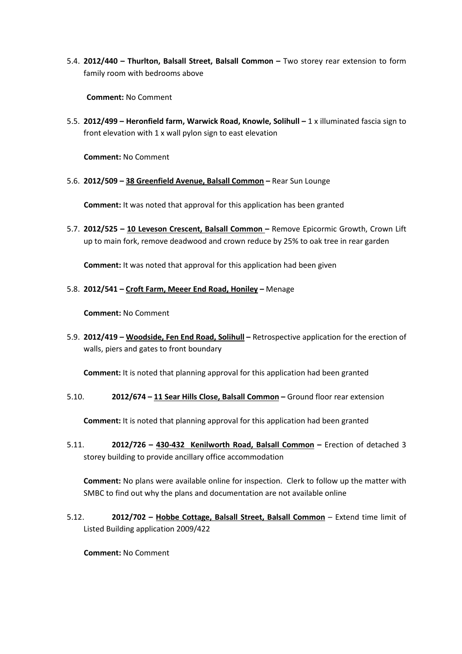5.4. 2012/440 – Thurlton, Balsall Street, Balsall Common – Two storey rear extension to form family room with bedrooms above

Comment: No Comment

5.5. 2012/499 – Heronfield farm, Warwick Road, Knowle, Solihull – 1 x illuminated fascia sign to front elevation with 1 x wall pylon sign to east elevation

Comment: No Comment

5.6. 2012/509 – 38 Greenfield Avenue, Balsall Common – Rear Sun Lounge

Comment: It was noted that approval for this application has been granted

5.7. 2012/525 – 10 Leveson Crescent, Balsall Common – Remove Epicormic Growth, Crown Lift up to main fork, remove deadwood and crown reduce by 25% to oak tree in rear garden

Comment: It was noted that approval for this application had been given

#### 5.8. 2012/541 – Croft Farm, Meeer End Road, Honiley – Menage

Comment: No Comment

5.9. 2012/419 – Woodside, Fen End Road, Solihull – Retrospective application for the erection of walls, piers and gates to front boundary

Comment: It is noted that planning approval for this application had been granted

5.10. 2012/674 – 11 Sear Hills Close, Balsall Common – Ground floor rear extension

Comment: It is noted that planning approval for this application had been granted

5.11. 2012/726 – 430-432 Kenilworth Road, Balsall Common – Erection of detached 3 storey building to provide ancillary office accommodation

Comment: No plans were available online for inspection. Clerk to follow up the matter with SMBC to find out why the plans and documentation are not available online

5.12. 2012/702 – Hobbe Cottage, Balsall Street, Balsall Common – Extend time limit of Listed Building application 2009/422

Comment: No Comment